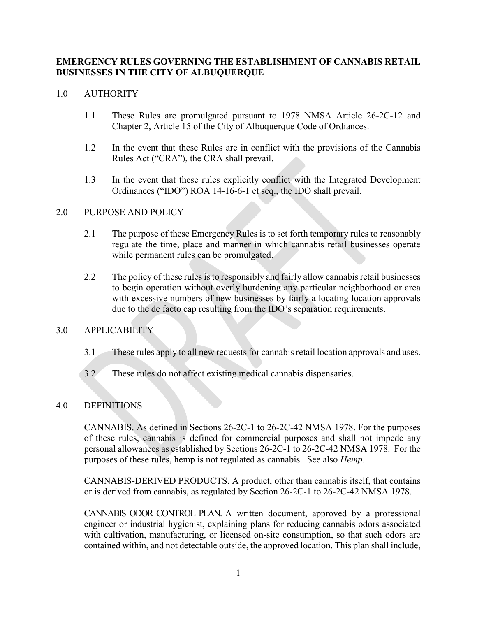## **EMERGENCY RULES GOVERNING THE ESTABLISHMENT OF CANNABIS RETAIL BUSINESSES IN THE CITY OF ALBUQUERQUE**

### 1.0 AUTHORITY

- 1.1 These Rules are promulgated pursuant to 1978 NMSA Article 26-2C-12 and Chapter 2, Article 15 of the City of Albuquerque Code of Ordiances.
- 1.2 In the event that these Rules are in conflict with the provisions of the Cannabis Rules Act ("CRA"), the CRA shall prevail.
- 1.3 In the event that these rules explicitly conflict with the Integrated Development Ordinances ("IDO") ROA 14-16-6-1 et seq., the IDO shall prevail.

#### 2.0 PURPOSE AND POLICY

- 2.1 The purpose of these Emergency Rules is to set forth temporary rules to reasonably regulate the time, place and manner in which cannabis retail businesses operate while permanent rules can be promulgated.
- 2.2 The policy of these rules is to responsibly and fairly allow cannabis retail businesses to begin operation without overly burdening any particular neighborhood or area with excessive numbers of new businesses by fairly allocating location approvals due to the de facto cap resulting from the IDO's separation requirements.

# 3.0 APPLICABILITY

- 3.1 These rules apply to all new requests for cannabis retail location approvals and uses.
- 3.2 These rules do not affect existing medical cannabis dispensaries.

# 4.0 DEFINITIONS

CANNABIS. As defined in Sections 26-2C-1 to 26-2C-42 NMSA 1978. For the purposes of these rules, cannabis is defined for commercial purposes and shall not impede any personal allowances as established by Sections 26-2C-1 to 26-2C-42 NMSA 1978. For the purposes of these rules, hemp is not regulated as cannabis. See also *Hemp*.

CANNABIS-DERIVED PRODUCTS. A product, other than cannabis itself, that contains or is derived from cannabis, as regulated by Section 26-2C-1 to 26-2C-42 NMSA 1978.

CANNABIS ODOR CONTROL PLAN. A written document, approved by a professional engineer or industrial hygienist, explaining plans for reducing cannabis odors associated with cultivation, manufacturing, or licensed on-site consumption, so that such odors are contained within, and not detectable outside, the approved location. This plan shall include,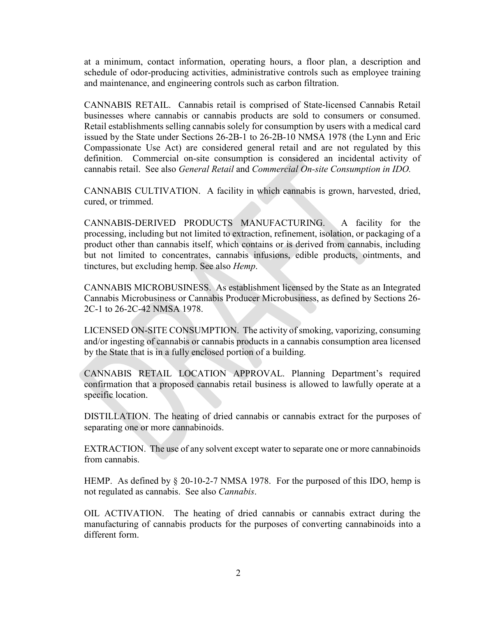at a minimum, contact information, operating hours, a floor plan, a description and schedule of odor-producing activities, administrative controls such as employee training and maintenance, and engineering controls such as carbon filtration.

CANNABIS RETAIL. Cannabis retail is comprised of State-licensed Cannabis Retail businesses where cannabis or cannabis products are sold to consumers or consumed. Retail establishments selling cannabis solely for consumption by users with a medical card issued by the State under Sections 26-2B-1 to 26-2B-10 NMSA 1978 (the Lynn and Eric Compassionate Use Act) are considered general retail and are not regulated by this definition. Commercial on-site consumption is considered an incidental activity of cannabis retail. See also *General Retail* and *Commercial On-site Consumption in IDO.*

CANNABIS CULTIVATION. A facility in which cannabis is grown, harvested, dried, cured, or trimmed.

CANNABIS-DERIVED PRODUCTS MANUFACTURING. A facility for the processing, including but not limited to extraction, refinement, isolation, or packaging of a product other than cannabis itself, which contains or is derived from cannabis, including but not limited to concentrates, cannabis infusions, edible products, ointments, and tinctures, but excluding hemp. See also *Hemp*.

CANNABIS MICROBUSINESS. As establishment licensed by the State as an Integrated Cannabis Microbusiness or Cannabis Producer Microbusiness, as defined by Sections 26- 2C-1 to 26-2C-42 NMSA 1978.

LICENSED ON-SITE CONSUMPTION. The activity of smoking, vaporizing, consuming and/or ingesting of cannabis or cannabis products in a cannabis consumption area licensed by the State that is in a fully enclosed portion of a building.

CANNABIS RETAIL LOCATION APPROVAL. Planning Department's required confirmation that a proposed cannabis retail business is allowed to lawfully operate at a specific location.

DISTILLATION. The heating of dried cannabis or cannabis extract for the purposes of separating one or more cannabinoids.

EXTRACTION. The use of any solvent except water to separate one or more cannabinoids from cannabis.

HEMP. As defined by § 20-10-2-7 NMSA 1978. For the purposed of this IDO, hemp is not regulated as cannabis. See also *Cannabis*.

OIL ACTIVATION. The heating of dried cannabis or cannabis extract during the manufacturing of cannabis products for the purposes of converting cannabinoids into a different form.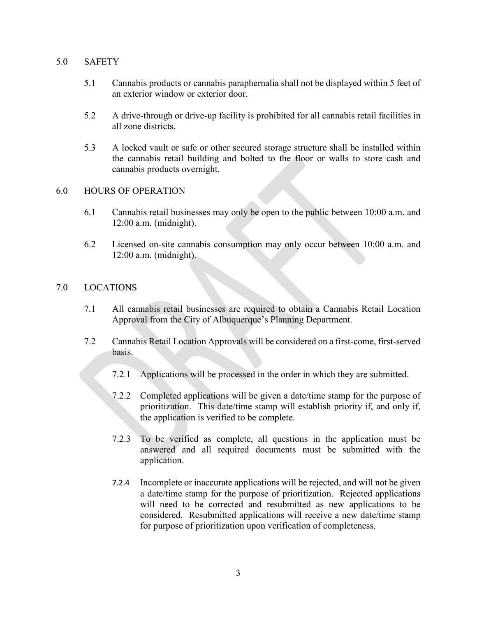### 5.0 SAFETY

- 5.1 Cannabis products or cannabis paraphernalia shall not be displayed within 5 feet of an exterior window or exterior door.
- 5.2 A drive-through or drive-up facility is prohibited for all cannabis retail facilities in all zone districts.
- 5.3 A locked vault or safe or other secured storage structure shall be installed within the cannabis retail building and bolted to the floor or walls to store cash and cannabis products overnight.

## 6.0 HOURS OF OPERATION

- 6.1 Cannabis retail businesses may only be open to the public between 10:00 a.m. and 12:00 a.m. (midnight).
- 6.2 Licensed on-site cannabis consumption may only occur between 10:00 a.m. and 12:00 a.m. (midnight).

## 7.0 LOCATIONS

- 7.1 All cannabis retail businesses are required to obtain a Cannabis Retail Location Approval from the City of Albuquerque's Planning Department.
- 7.2 Cannabis Retail Location Approvals will be considered on a first-come, first-served basis.
	- 7.2.1 Applications will be processed in the order in which they are submitted.
	- 7.2.2 Completed applications will be given a date/time stamp for the purpose of prioritization. This date/time stamp will establish priority if, and only if, the application is verified to be complete.
	- 7.2.3 To be verified as complete, all questions in the application must be answered and all required documents must be submitted with the application.
	- 7.2.4 Incomplete or inaccurate applications will be rejected, and will not be given a date/time stamp for the purpose of prioritization. Rejected applications will need to be corrected and resubmitted as new applications to be considered. Resubmitted applications will receive a new date/time stamp for purpose of prioritization upon verification of completeness.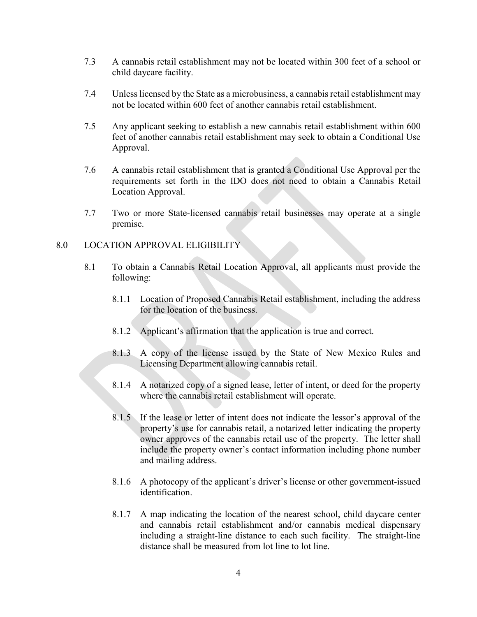- 7.3 A cannabis retail establishment may not be located within 300 feet of a school or child daycare facility.
- 7.4 Unless licensed by the State as a microbusiness, a cannabis retail establishment may not be located within 600 feet of another cannabis retail establishment.
- 7.5 Any applicant seeking to establish a new cannabis retail establishment within 600 feet of another cannabis retail establishment may seek to obtain a Conditional Use Approval.
- 7.6 A cannabis retail establishment that is granted a Conditional Use Approval per the requirements set forth in the IDO does not need to obtain a Cannabis Retail Location Approval.
- 7.7 Two or more State-licensed cannabis retail businesses may operate at a single premise.

#### 8.0 LOCATION APPROVAL ELIGIBILITY

- 8.1 To obtain a Cannabis Retail Location Approval, all applicants must provide the following:
	- 8.1.1 Location of Proposed Cannabis Retail establishment, including the address for the location of the business.
	- 8.1.2 Applicant's affirmation that the application is true and correct.
	- 8.1.3 A copy of the license issued by the State of New Mexico Rules and Licensing Department allowing cannabis retail.
	- 8.1.4 A notarized copy of a signed lease, letter of intent, or deed for the property where the cannabis retail establishment will operate.
	- 8.1.5 If the lease or letter of intent does not indicate the lessor's approval of the property's use for cannabis retail, a notarized letter indicating the property owner approves of the cannabis retail use of the property. The letter shall include the property owner's contact information including phone number and mailing address.
	- 8.1.6 A photocopy of the applicant's driver's license or other government-issued identification.
	- 8.1.7 A map indicating the location of the nearest school, child daycare center and cannabis retail establishment and/or cannabis medical dispensary including a straight-line distance to each such facility. The straight-line distance shall be measured from lot line to lot line.